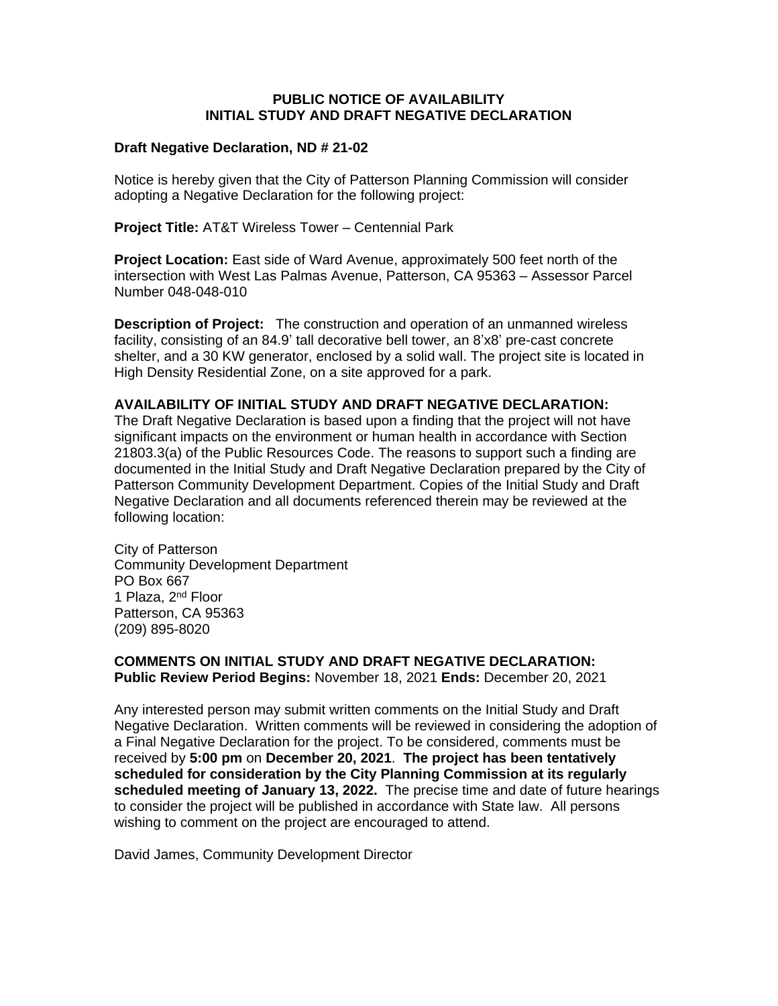## **PUBLIC NOTICE OF AVAILABILITY INITIAL STUDY AND DRAFT NEGATIVE DECLARATION**

## **Draft Negative Declaration, ND # 21-02**

Notice is hereby given that the City of Patterson Planning Commission will consider adopting a Negative Declaration for the following project:

**Project Title:** AT&T Wireless Tower – Centennial Park

**Project Location:** East side of Ward Avenue, approximately 500 feet north of the intersection with West Las Palmas Avenue, Patterson, CA 95363 – Assessor Parcel Number 048-048-010

**Description of Project:** The construction and operation of an unmanned wireless facility, consisting of an 84.9' tall decorative bell tower, an 8'x8' pre-cast concrete shelter, and a 30 KW generator, enclosed by a solid wall. The project site is located in High Density Residential Zone, on a site approved for a park.

## **AVAILABILITY OF INITIAL STUDY AND DRAFT NEGATIVE DECLARATION:**

The Draft Negative Declaration is based upon a finding that the project will not have significant impacts on the environment or human health in accordance with Section 21803.3(a) of the Public Resources Code. The reasons to support such a finding are documented in the Initial Study and Draft Negative Declaration prepared by the City of Patterson Community Development Department. Copies of the Initial Study and Draft Negative Declaration and all documents referenced therein may be reviewed at the following location:

City of Patterson Community Development Department PO Box 667 1 Plaza, 2<sup>nd</sup> Floor Patterson, CA 95363 (209) 895-8020

**COMMENTS ON INITIAL STUDY AND DRAFT NEGATIVE DECLARATION: Public Review Period Begins:** November 18, 2021 **Ends:** December 20, 2021

Any interested person may submit written comments on the Initial Study and Draft Negative Declaration. Written comments will be reviewed in considering the adoption of a Final Negative Declaration for the project. To be considered, comments must be received by **5:00 pm** on **December 20, 2021**. **The project has been tentatively scheduled for consideration by the City Planning Commission at its regularly scheduled meeting of January 13, 2022.** The precise time and date of future hearings to consider the project will be published in accordance with State law. All persons wishing to comment on the project are encouraged to attend.

David James, Community Development Director